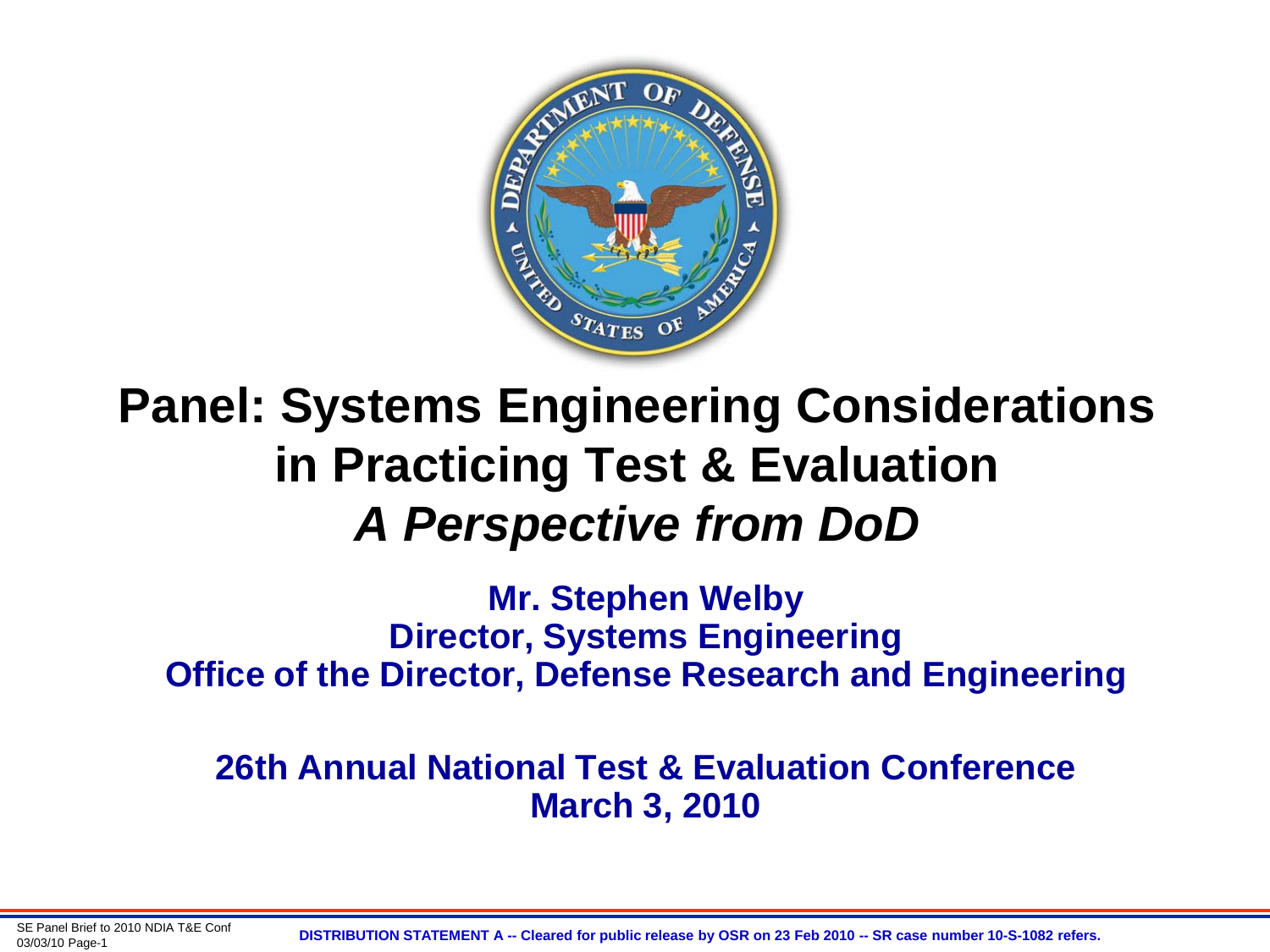

#### **Panel: Systems Engineering Considerations in Practicing Test & Evaluation** *A Perspective from DoD*

**Mr. Stephen Welby Director, Systems Engineering Office of the Director, Defense Research and Engineering**

**26th Annual National Test & Evaluation Conference March 3, 2010**

03/03/10 Page-1 **DISTRIBUTION STATEMENT A -- Cleared for public release by OSR on 23 Feb 2010 -- SR case number 10-S-1082 refers.**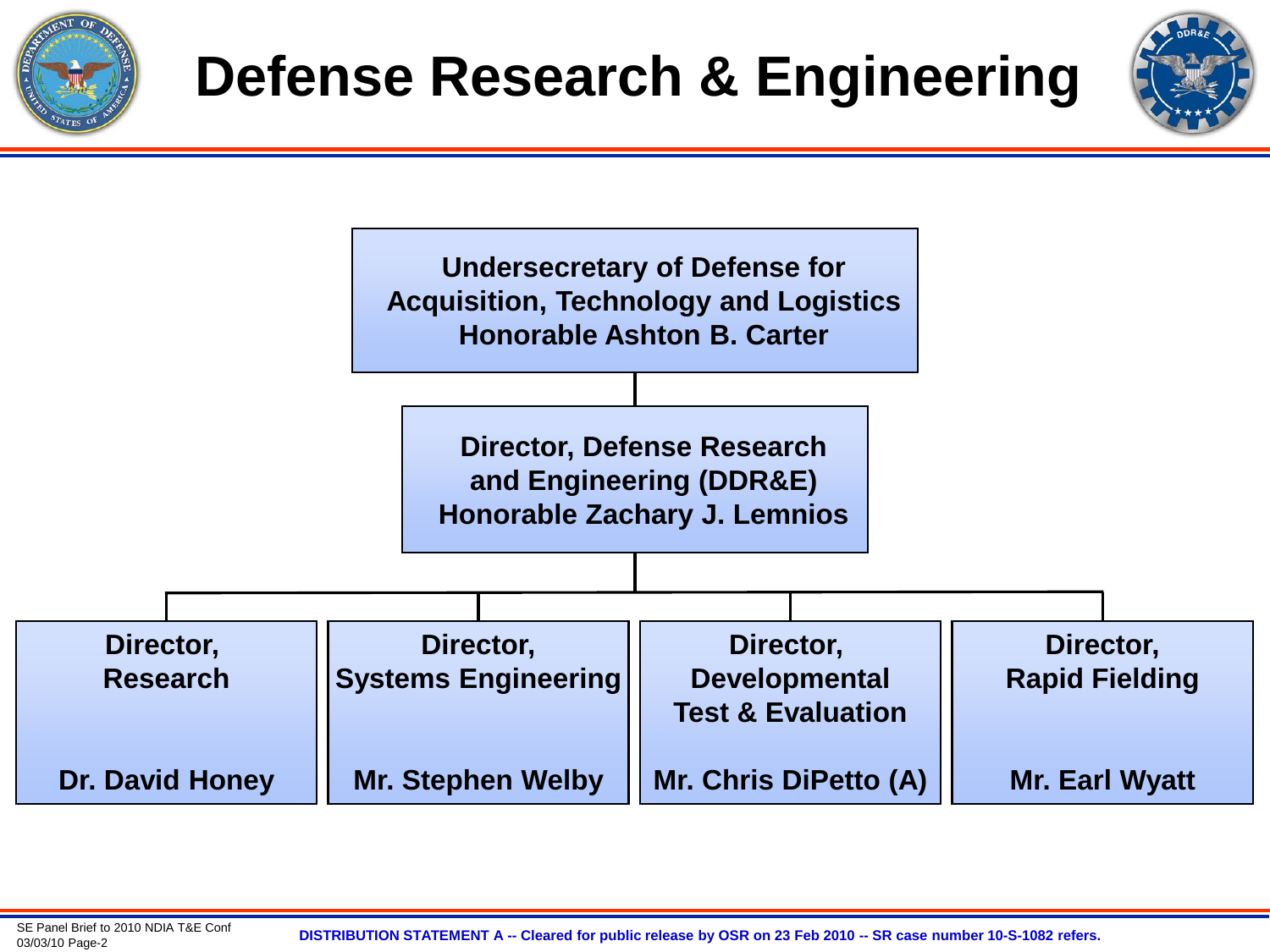





SE Panel Brief to 2010 NDIA T&E Conf<br>03/03/10 Page-2

03/03/10 Page-2 **DISTRIBUTION STATEMENT A -- Cleared for public release by OSR on 23 Feb 2010 -- SR case number 10-S-1082 refers.**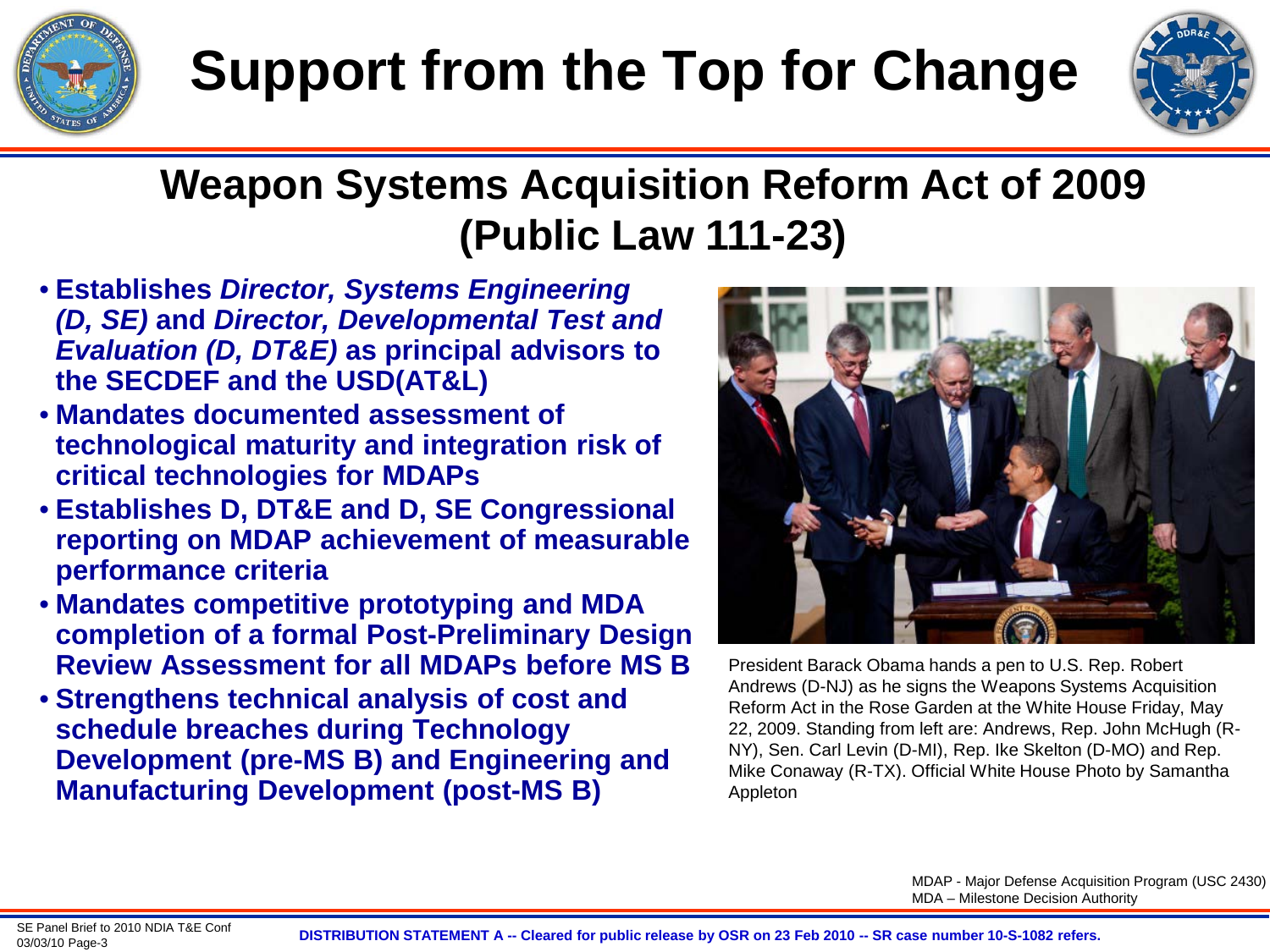



#### **Weapon Systems Acquisition Reform Act of 2009 (Public Law 111-23)**

- **Establishes** *Director, Systems Engineering (D, SE)* **and** *Director, Developmental Test and Evaluation (D, DT&E)* **as principal advisors to the SECDEF and the USD(AT&L)**
- **Mandates documented assessment of technological maturity and integration risk of critical technologies for MDAPs**
- **Establishes D, DT&E and D, SE Congressional reporting on MDAP achievement of measurable performance criteria**
- **Mandates competitive prototyping and MDA completion of a formal Post-Preliminary Design Review Assessment for all MDAPs before MS B**
- **Strengthens technical analysis of cost and schedule breaches during Technology Development (pre-MS B) and Engineering and Manufacturing Development (post-MS B)**



President Barack Obama hands a pen to U.S. Rep. Robert Andrews (D-NJ) as he signs the Weapons Systems Acquisition Reform Act in the Rose Garden at the White House Friday, May 22, 2009. Standing from left are: Andrews, Rep. John McHugh (R-NY), Sen. Carl Levin (D-MI), Rep. Ike Skelton (D-MO) and Rep. Mike Conaway (R-TX). Official White House Photo by Samantha Appleton

MDAP - Major Defense Acquisition Program (USC 2430) MDA – Milestone Decision Authority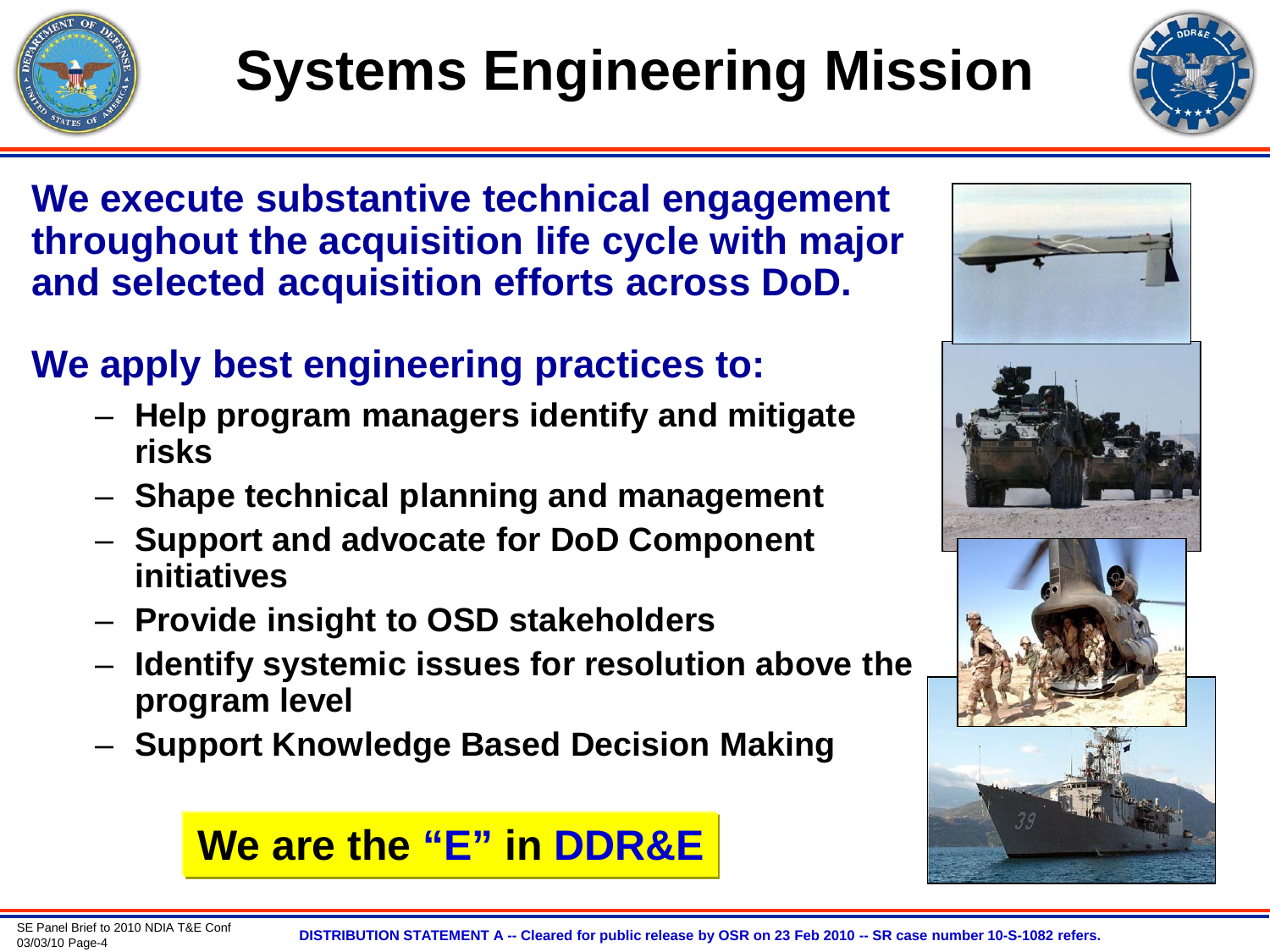



**We execute substantive technical engagement throughout the acquisition life cycle with major and selected acquisition efforts across DoD.**

#### **We apply best engineering practices to:**

- **Help program managers identify and mitigate risks**
- **Shape technical planning and management**
- **Support and advocate for DoD Component initiatives**
- **Provide insight to OSD stakeholders**
- **Identify systemic issues for resolution above the program level**
- **Support Knowledge Based Decision Making**

#### **We are the "E" in DDR&E**

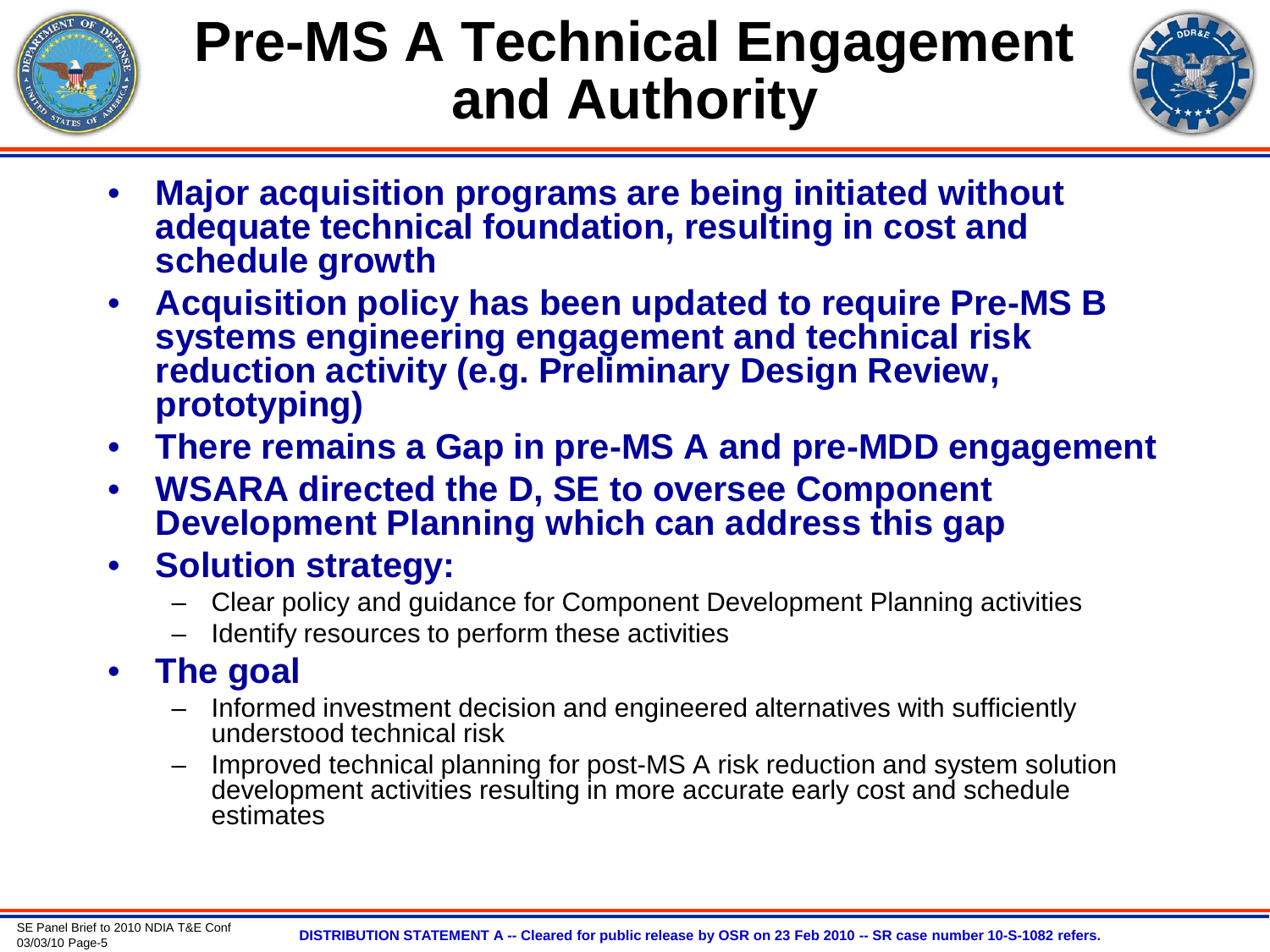

# **Pre-MS A Technical Engagement and Authority**



- **Major acquisition programs are being initiated without adequate technical foundation, resulting in cost and schedule growth**
- **Acquisition policy has been updated to require Pre-MS B systems engineering engagement and technical risk reduction activity (e.g. Preliminary Design Review, prototyping)**
- **There remains a Gap in pre-MS A and pre-MDD engagement**
- **WSARA directed the D, SE to oversee Component Development Planning which can address this gap**
- **Solution strategy:**
	- Clear policy and guidance for Component Development Planning activities
	- Identify resources to perform these activities
- **The goal**
	- Informed investment decision and engineered alternatives with sufficiently understood technical risk
	- Improved technical planning for post-MS A risk reduction and system solution development activities resulting in more accurate early cost and schedule estimates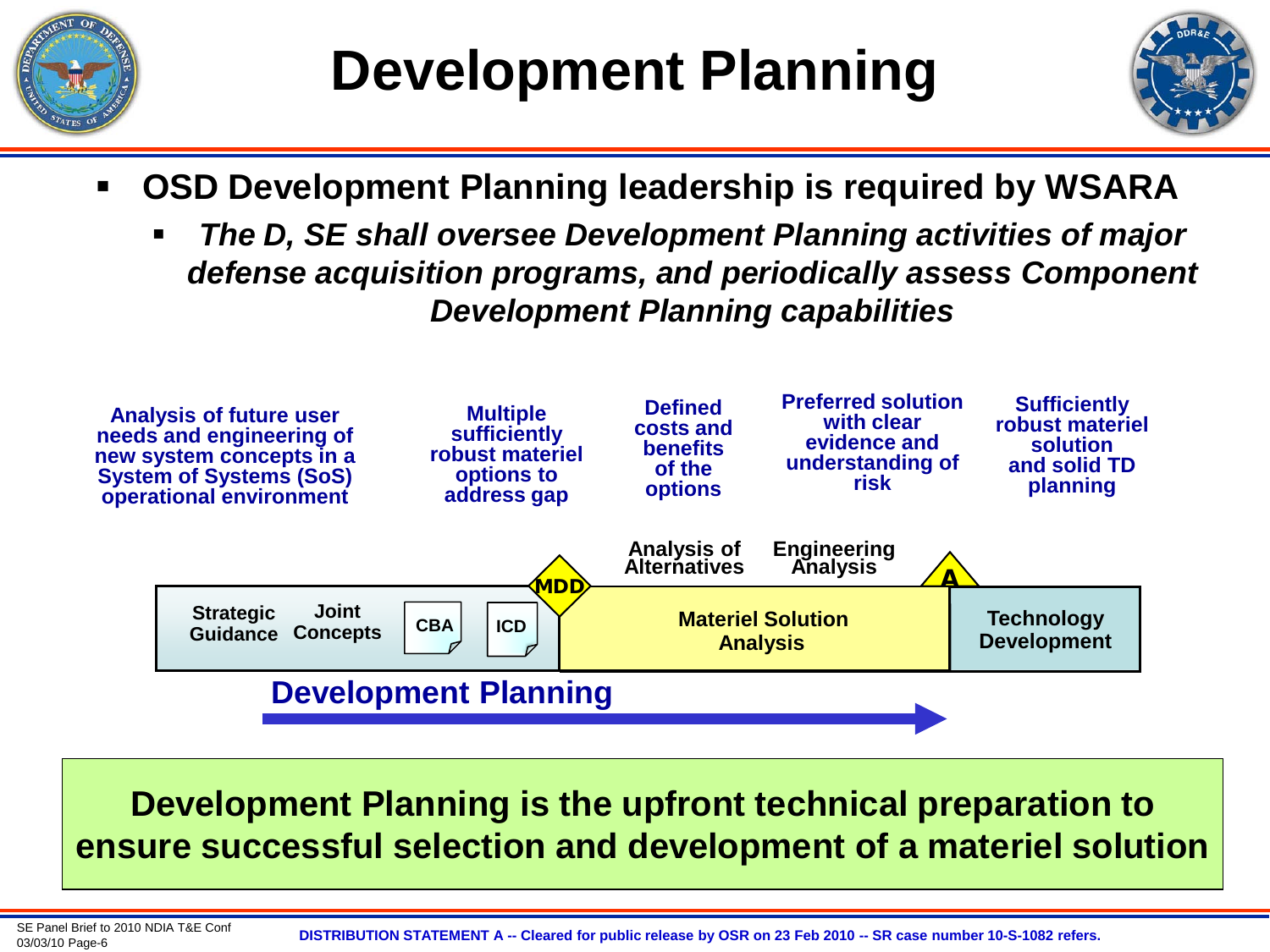



- **OSD Development Planning leadership is required by WSARA**
	- *The D, SE shall oversee Development Planning activities of major defense acquisition programs, and periodically assess Component Development Planning capabilities*



**Development Planning is the upfront technical preparation to ensure successful selection and development of a materiel solution**

SE Panel Brief to 2010 NDIA T&E Conf<br>03/03/10 Page-6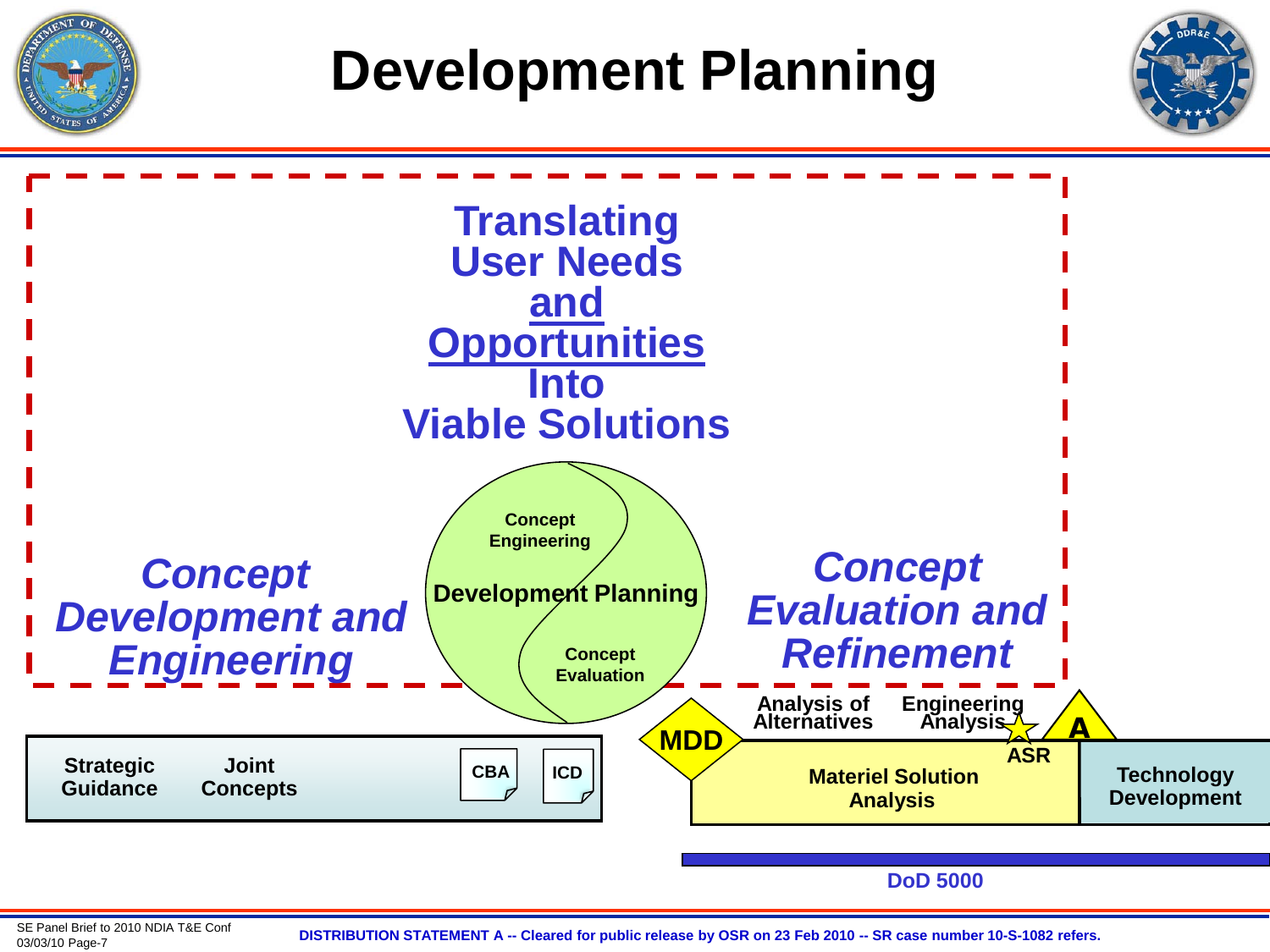

## **Development Planning**





**DoD 5000**

03/03/10 Page-7 **DISTRIBUTION STATEMENT A -- Cleared for public release by OSR on 23 Feb 2010 -- SR case number 10-S-1082 refers.**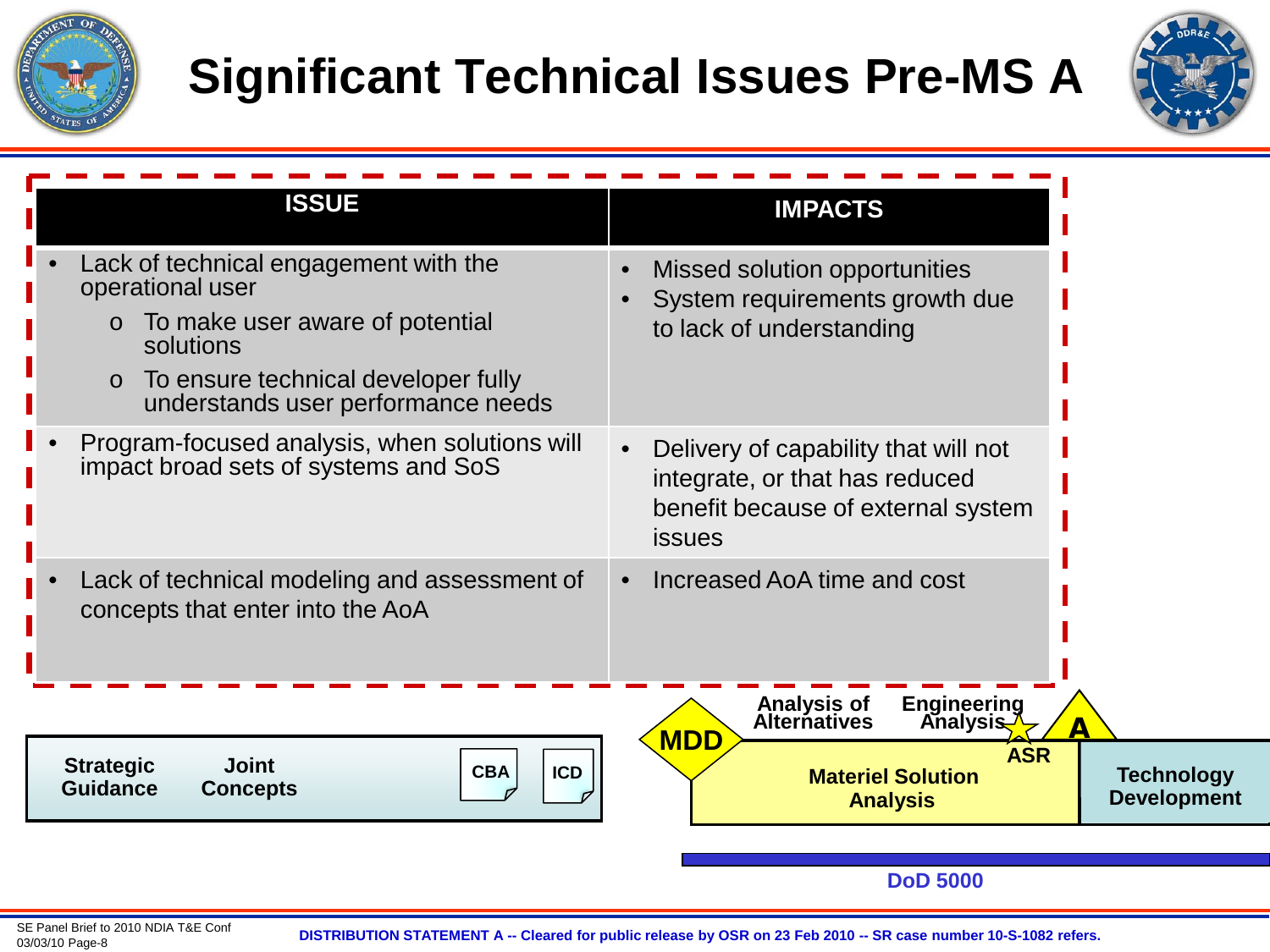

## **Significant Technical Issues Pre-MS A**



| <b>ISSUE</b>                                                                                                                                                                                                 | <b>IMPACTS</b>                                                                                                                |
|--------------------------------------------------------------------------------------------------------------------------------------------------------------------------------------------------------------|-------------------------------------------------------------------------------------------------------------------------------|
| Lack of technical engagement with the<br>operational user<br>To make user aware of potential<br>$\circ$<br>solutions<br>To ensure technical developer fully<br>$\circ$<br>understands user performance needs | Missed solution opportunities<br>$\bullet$<br>System requirements growth due<br>to lack of understanding                      |
| Program-focused analysis, when solutions will<br>$\bullet$<br>impact broad sets of systems and SoS                                                                                                           | Delivery of capability that will not<br>integrate, or that has reduced<br>benefit because of external system<br><b>issues</b> |
| Lack of technical modeling and assessment of<br>$\bullet$<br>concepts that enter into the AoA                                                                                                                | Increased AoA time and cost<br>$\bullet$<br>Analysis of<br><b>Engineering</b>                                                 |
| <b>Joint</b><br><b>Strategic</b><br><b>CBA</b><br><b>ICD</b><br><b>Guidance</b><br><b>Concepts</b>                                                                                                           | <b>Alternatives</b><br><b>Analysis</b><br><b>MDD</b><br><b>ASR</b><br><b>Materiel Solution</b><br><b>Analysis</b>             |
|                                                                                                                                                                                                              | <b>DoD 5000</b>                                                                                                               |

03/03/10 Page-8 **DISTRIBUTION STATEMENT A -- Cleared for public release by OSR on 23 Feb 2010 -- SR case number 10-S-1082 refers.**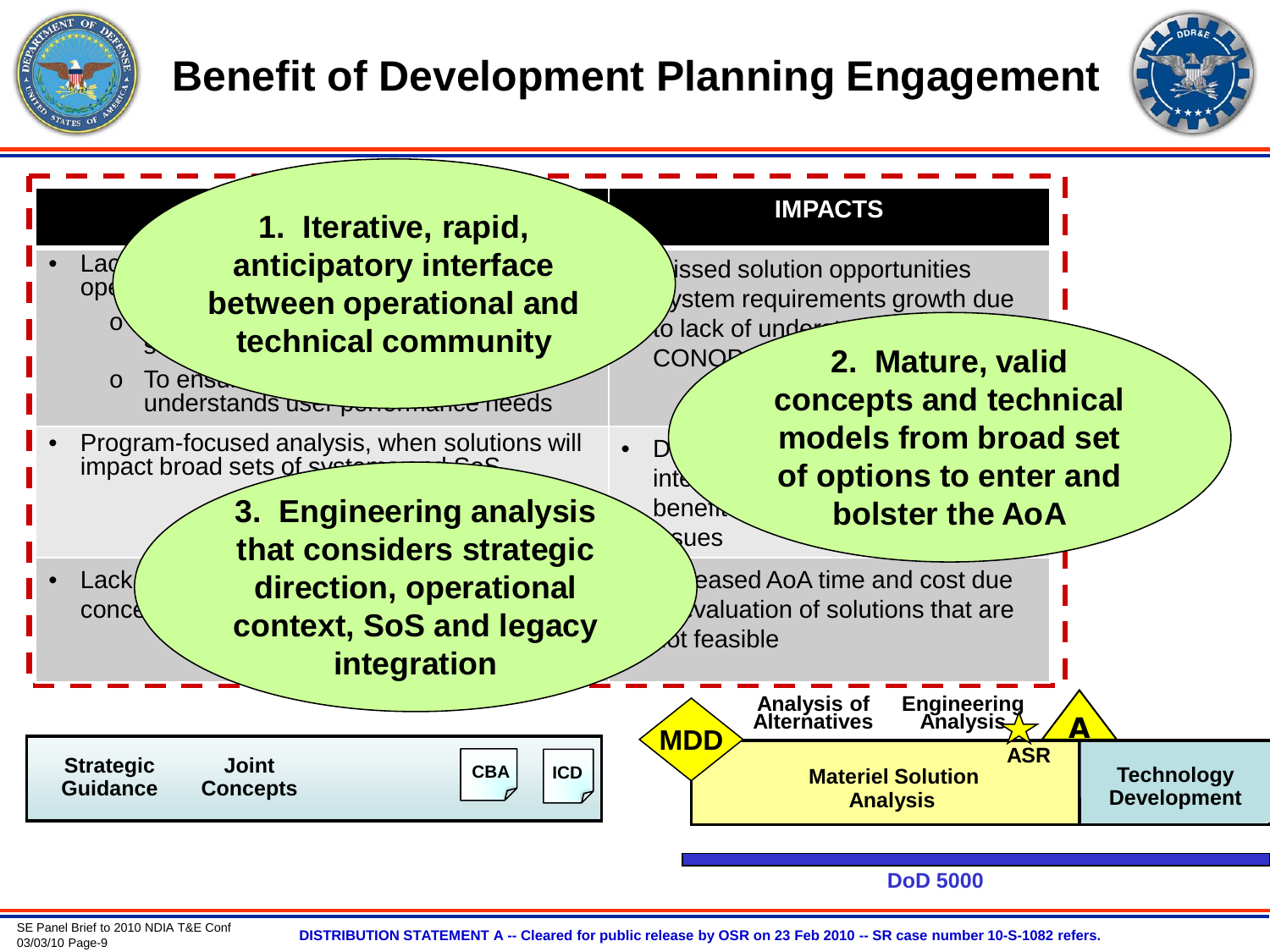

#### **Benefit of Development Planning Engagement**





03/03/10 Page-9 **DISTRIBUTION STATEMENT A -- Cleared for public release by OSR on 23 Feb 2010 -- SR case number 10-S-1082 refers.**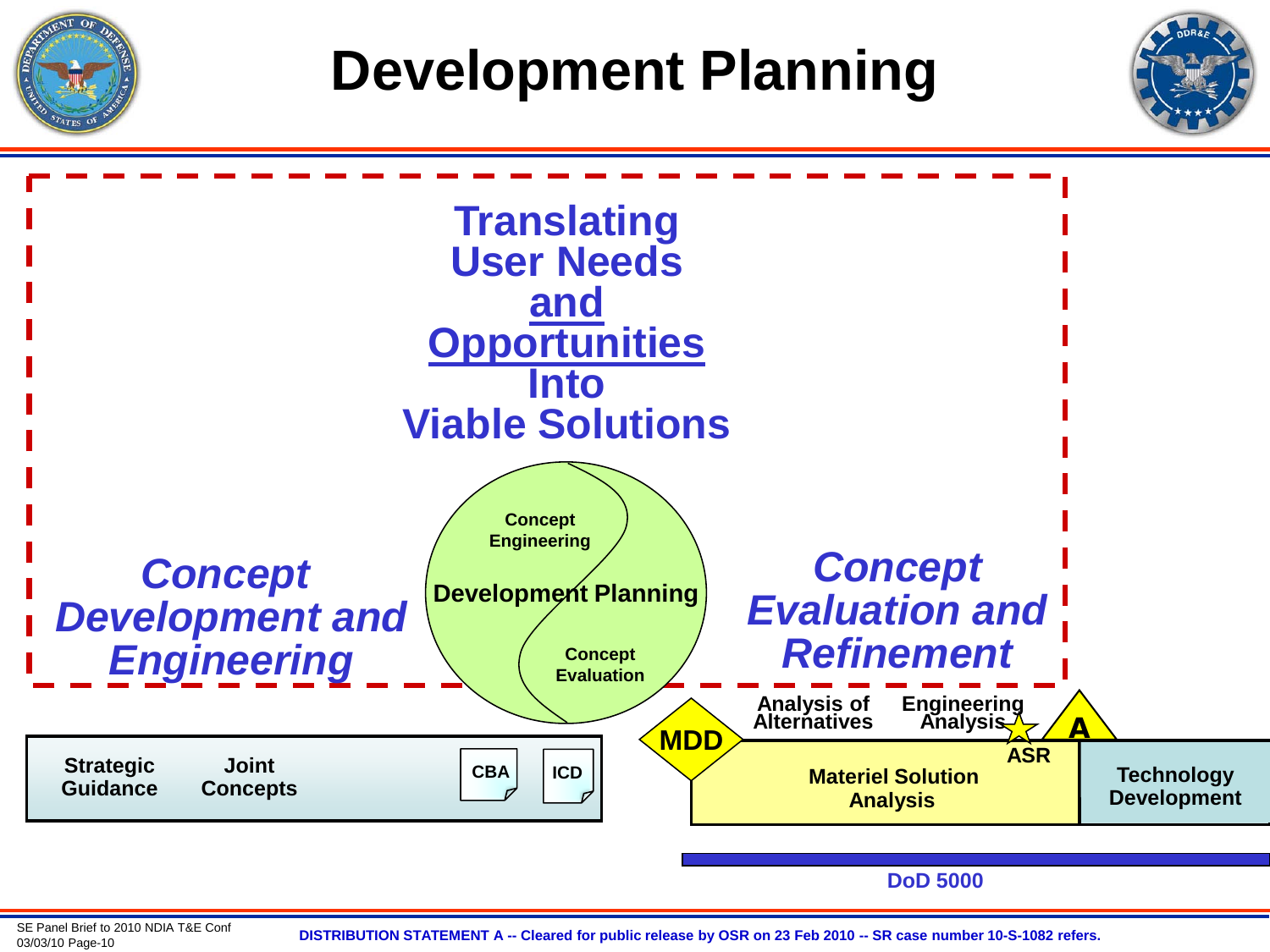

## **Development Planning**





**DoD 5000**

03/03/10 Page-10 **DISTRIBUTION STATEMENT A -- Cleared for public release by OSR on 23 Feb 2010 -- SR case number 10-S-1082 refers.**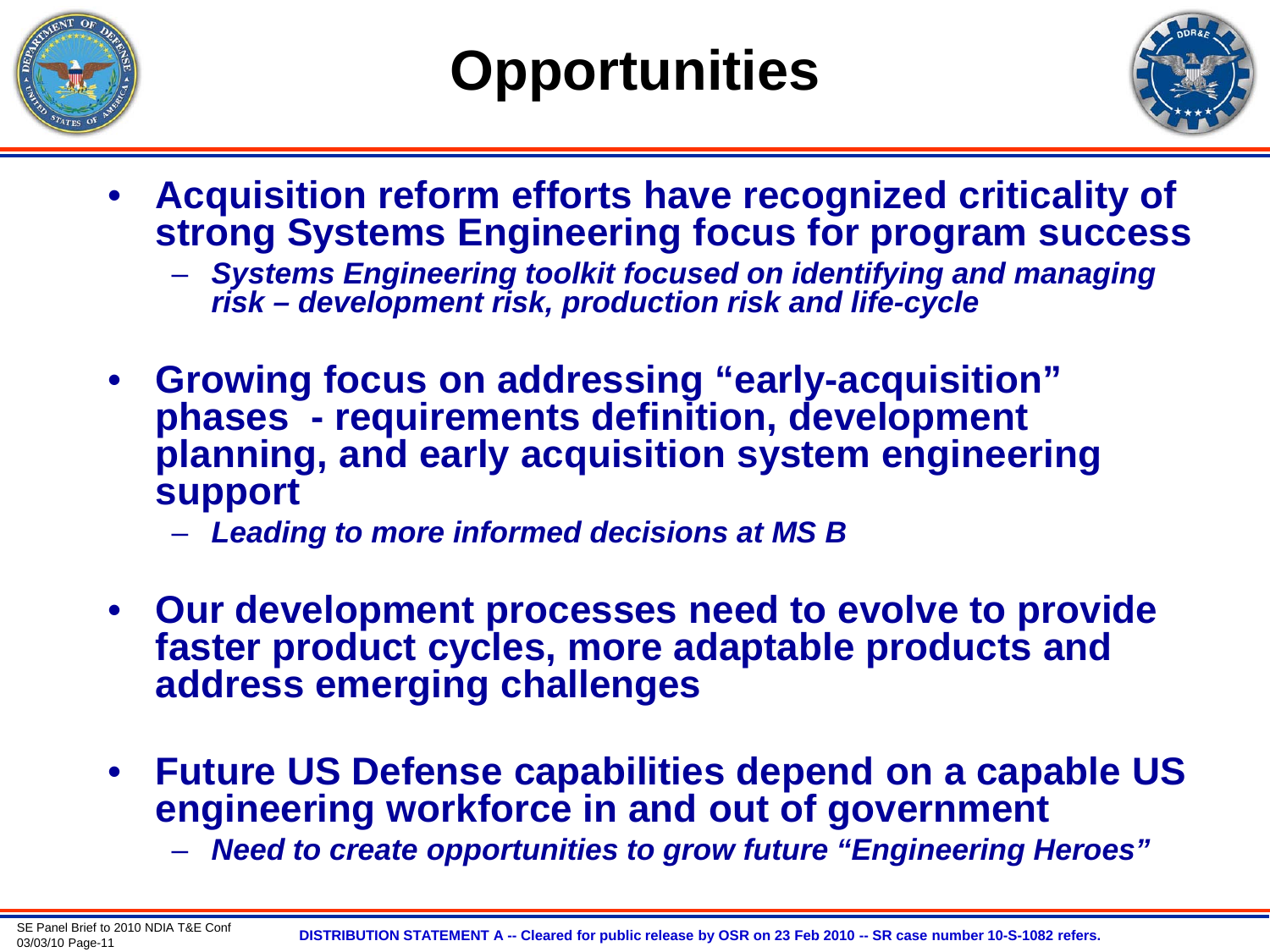



- **Acquisition reform efforts have recognized criticality of strong Systems Engineering focus for program success** 
	- *Systems Engineering toolkit focused on identifying and managing risk – development risk, production risk and life-cycle*
- **Growing focus on addressing "early-acquisition" phases - requirements definition, development planning, and early acquisition system engineering support**
	- *Leading to more informed decisions at MS B*
- **Our development processes need to evolve to provide faster product cycles, more adaptable products and address emerging challenges**
- **Future US Defense capabilities depend on a capable US engineering workforce in and out of government**
	- *Need to create opportunities to grow future "Engineering Heroes"*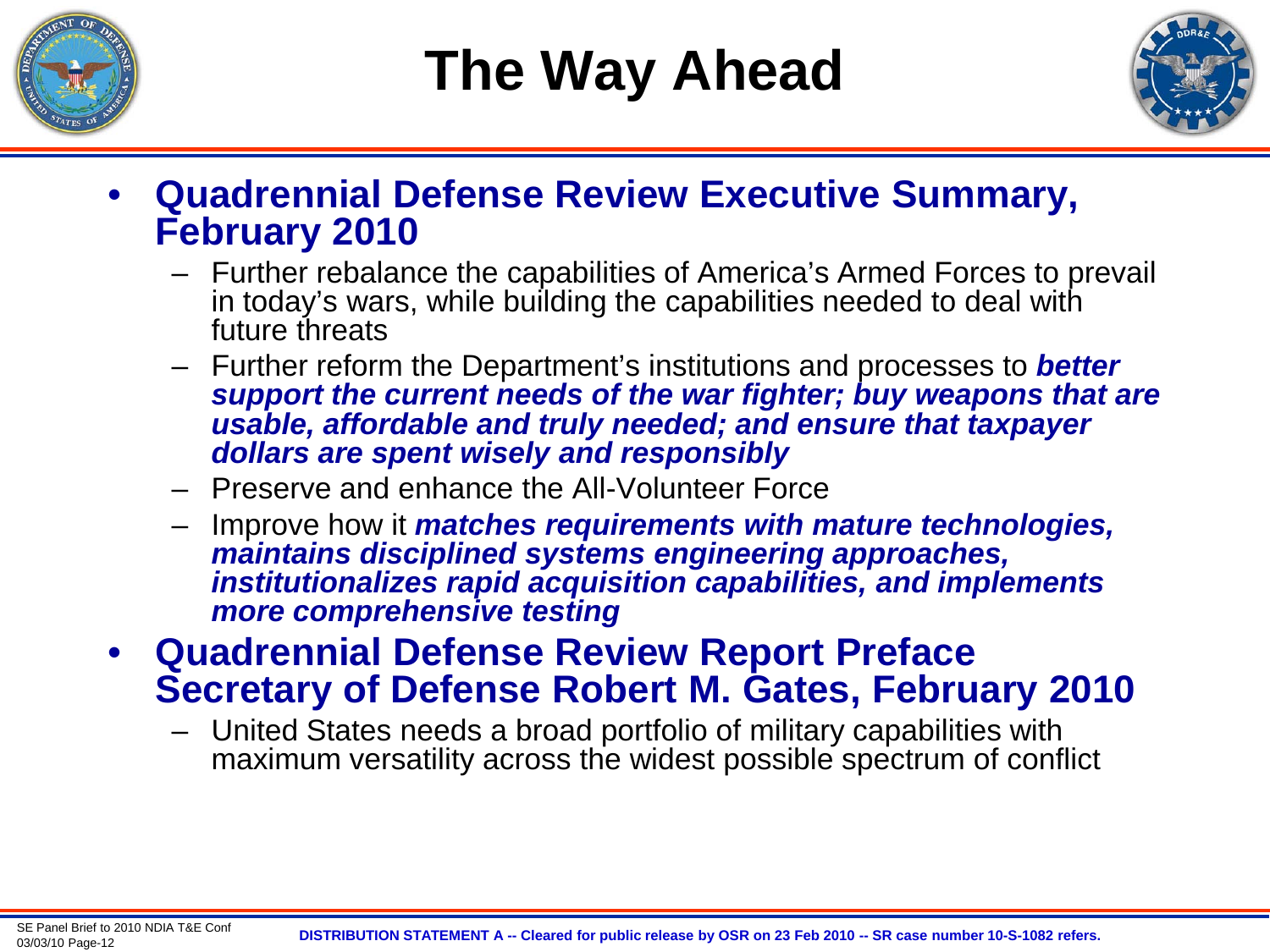

# **The Way Ahead**



- **Quadrennial Defense Review Executive Summary, February 2010**
	- Further rebalance the capabilities of America's Armed Forces to prevail in today's wars, while building the capabilities needed to deal with future threats
	- Further reform the Department's institutions and processes to *better support the current needs of the war fighter; buy weapons that are usable, affordable and truly needed; and ensure that taxpayer dollars are spent wisely and responsibly*
	- Preserve and enhance the All-Volunteer Force
	- Improve how it *matches requirements with mature technologies, maintains disciplined systems engineering approaches, institutionalizes rapid acquisition capabilities, and implements more comprehensive testing*
- **Quadrennial Defense Review Report Preface Secretary of Defense Robert M. Gates, February 2010**
	- United States needs a broad portfolio of military capabilities with maximum versatility across the widest possible spectrum of conflict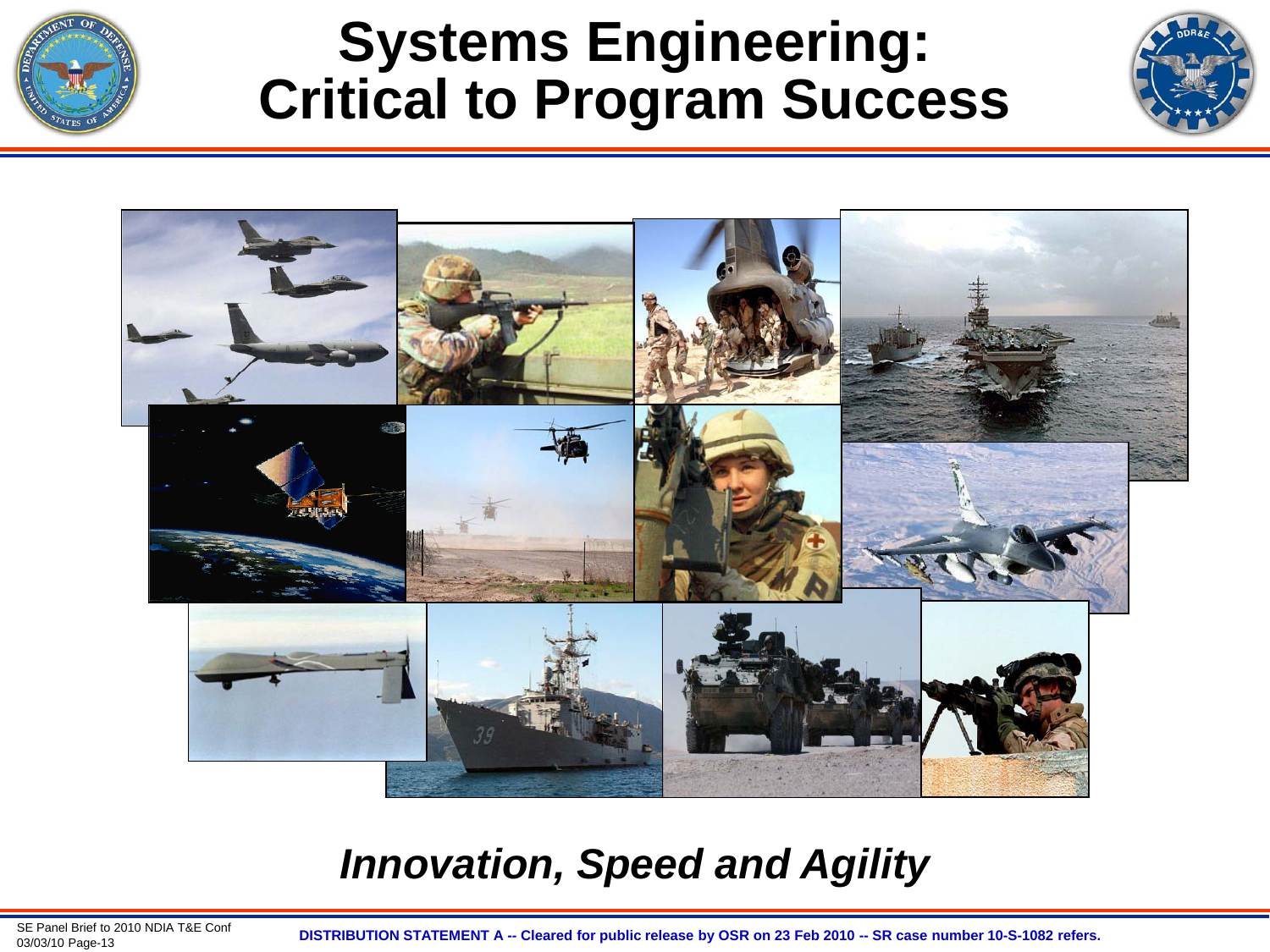

### **Systems Engineering: Critical to Program Success**





#### *Innovation, Speed and Agility*

SE Panel Brief to 2010 NDIA T&E Conf<br>03/03/10 Page-13

03/03/10 Page-13 **DISTRIBUTION STATEMENT A -- Cleared for public release by OSR on 23 Feb 2010 -- SR case number 10-S-1082 refers.**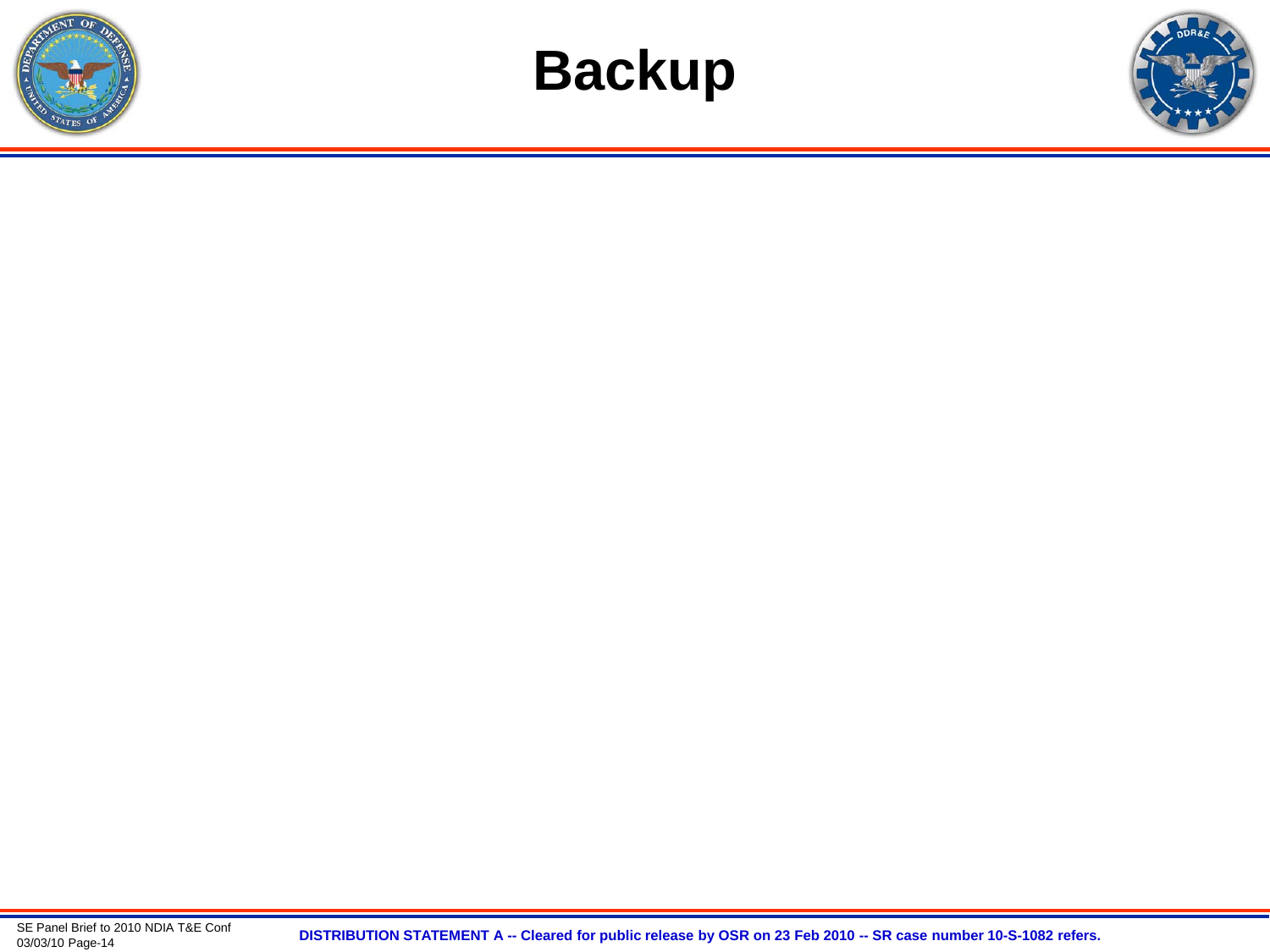



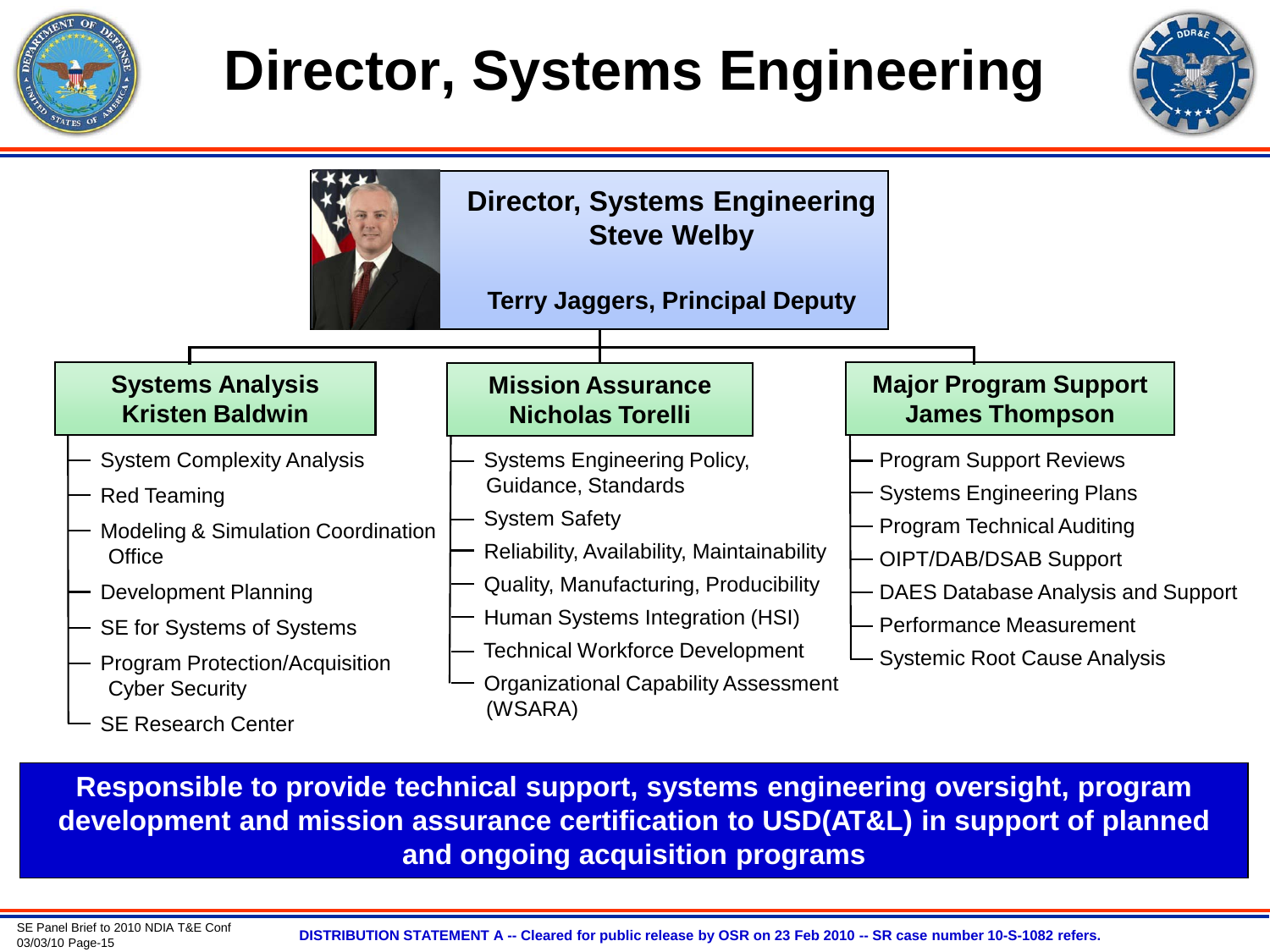

# **Director, Systems Engineering**





**Responsible to provide technical support, systems engineering oversight, program development and mission assurance certification to USD(AT&L) in support of planned and ongoing acquisition programs**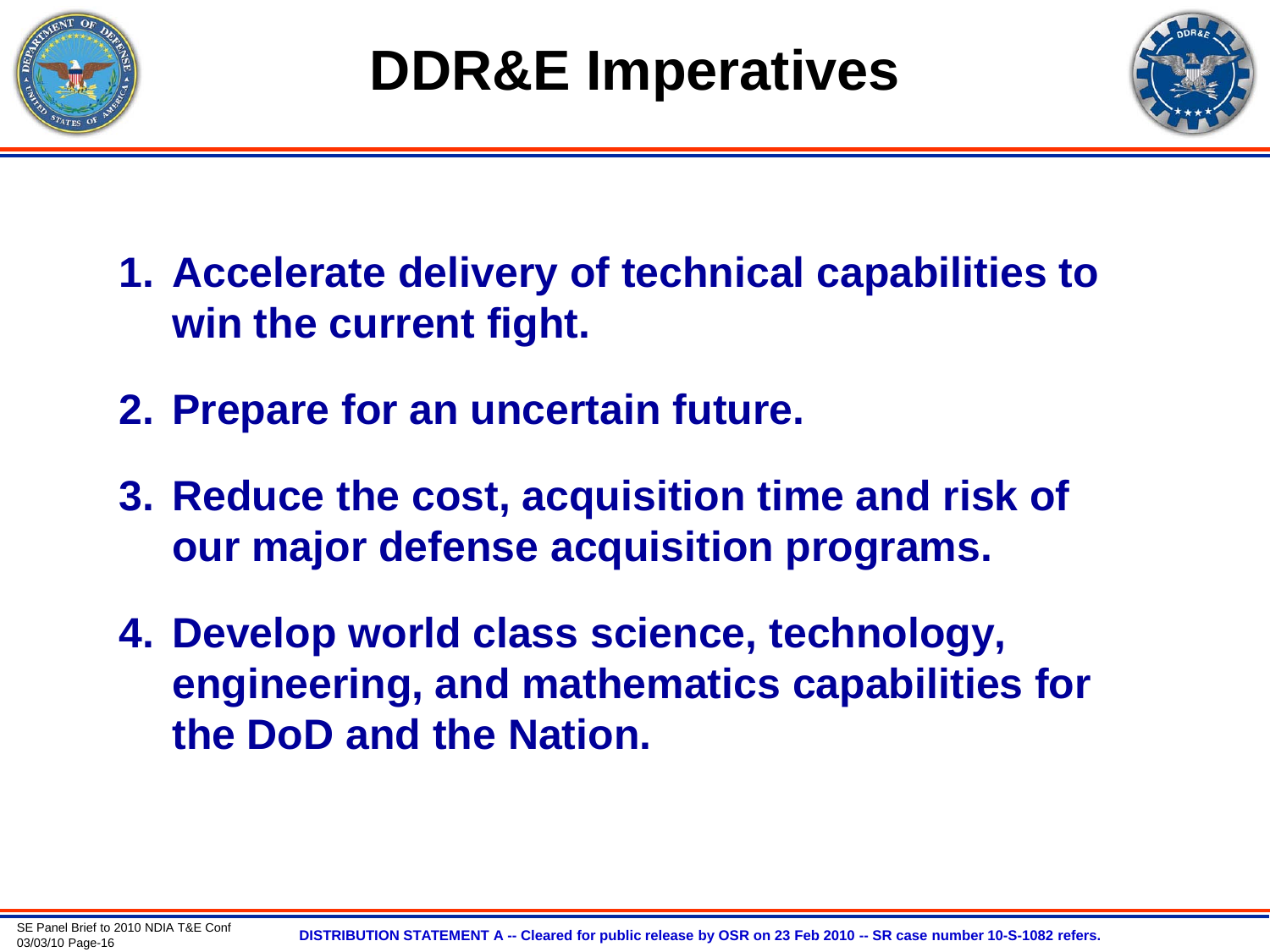



- **1. Accelerate delivery of technical capabilities to win the current fight.**
- **2. Prepare for an uncertain future.**
- **3. Reduce the cost, acquisition time and risk of our major defense acquisition programs.**
- **4. Develop world class science, technology, engineering, and mathematics capabilities for the DoD and the Nation.**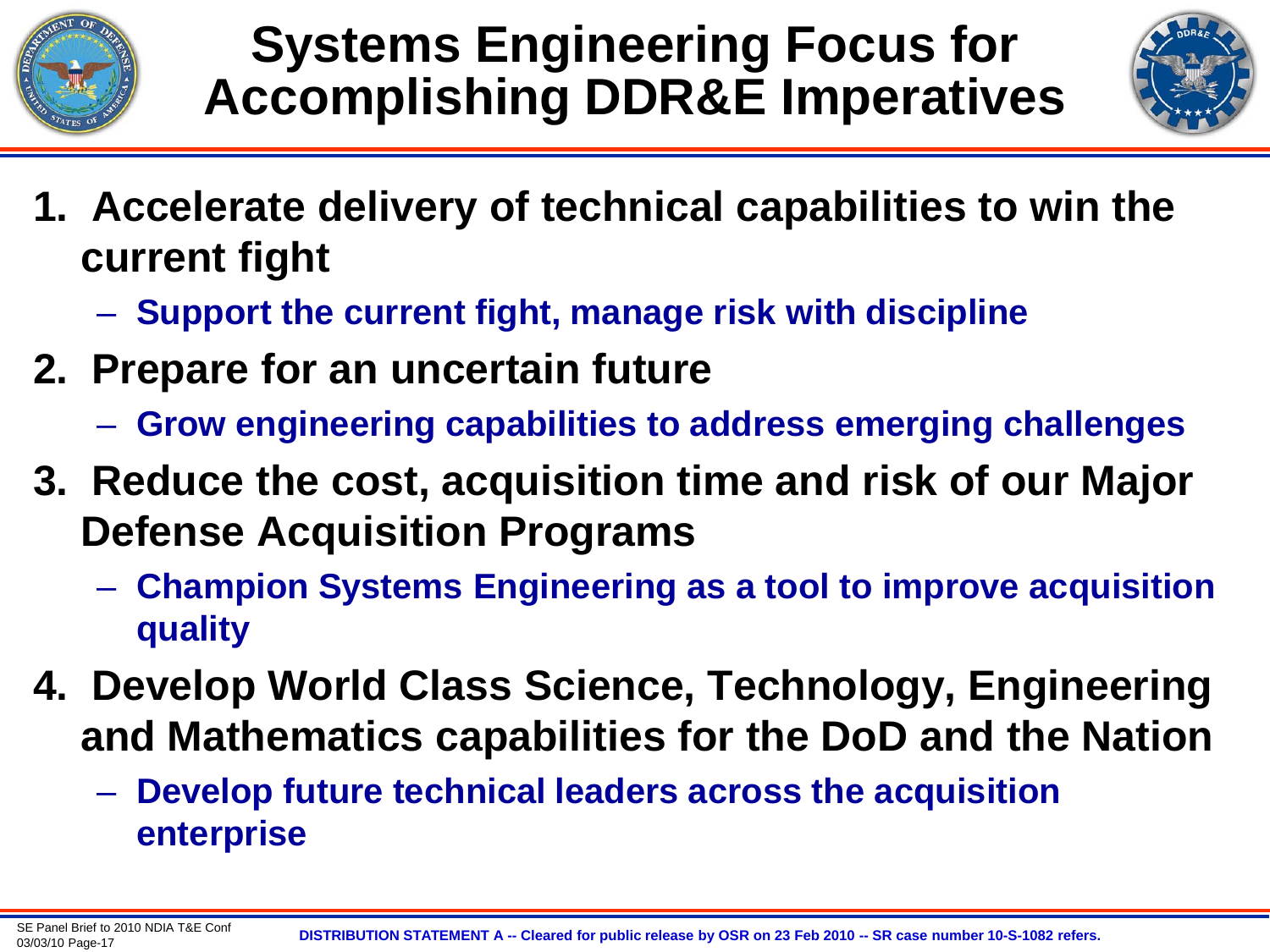

### **Systems Engineering Focus for Accomplishing DDR&E Imperatives**



- **1. Accelerate delivery of technical capabilities to win the current fight**
	- **Support the current fight, manage risk with discipline**
- **2. Prepare for an uncertain future** 
	- **Grow engineering capabilities to address emerging challenges**
- **3. Reduce the cost, acquisition time and risk of our Major Defense Acquisition Programs**
	- **Champion Systems Engineering as a tool to improve acquisition quality**
- **4. Develop World Class Science, Technology, Engineering and Mathematics capabilities for the DoD and the Nation**
	- **Develop future technical leaders across the acquisition enterprise**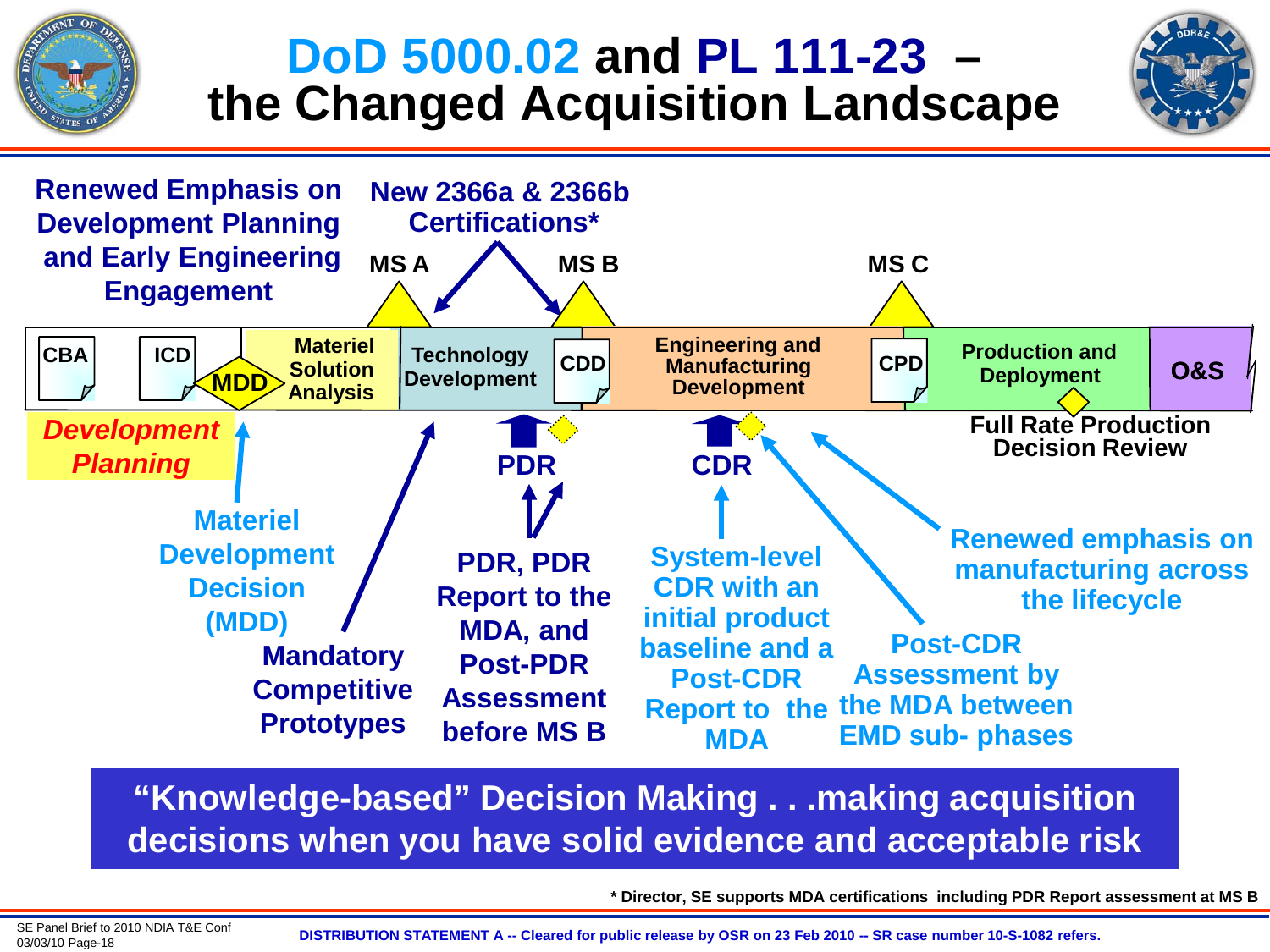# **DoD 5000.02 and PL 111-23 – the Changed Acquisition Landscape**





#### **"Knowledge-based" Decision Making . . .making acquisition decisions when you have solid evidence and acceptable risk**

**\* Director, SE supports MDA certifications including PDR Report assessment at MS B**

SE Panel Brief to 2010 NDIA T&E Conf<br>03/03/10 Page-18

03/03/10 Page-18 **DISTRIBUTION STATEMENT A -- Cleared for public release by OSR on 23 Feb 2010 -- SR case number 10-S-1082 refers.**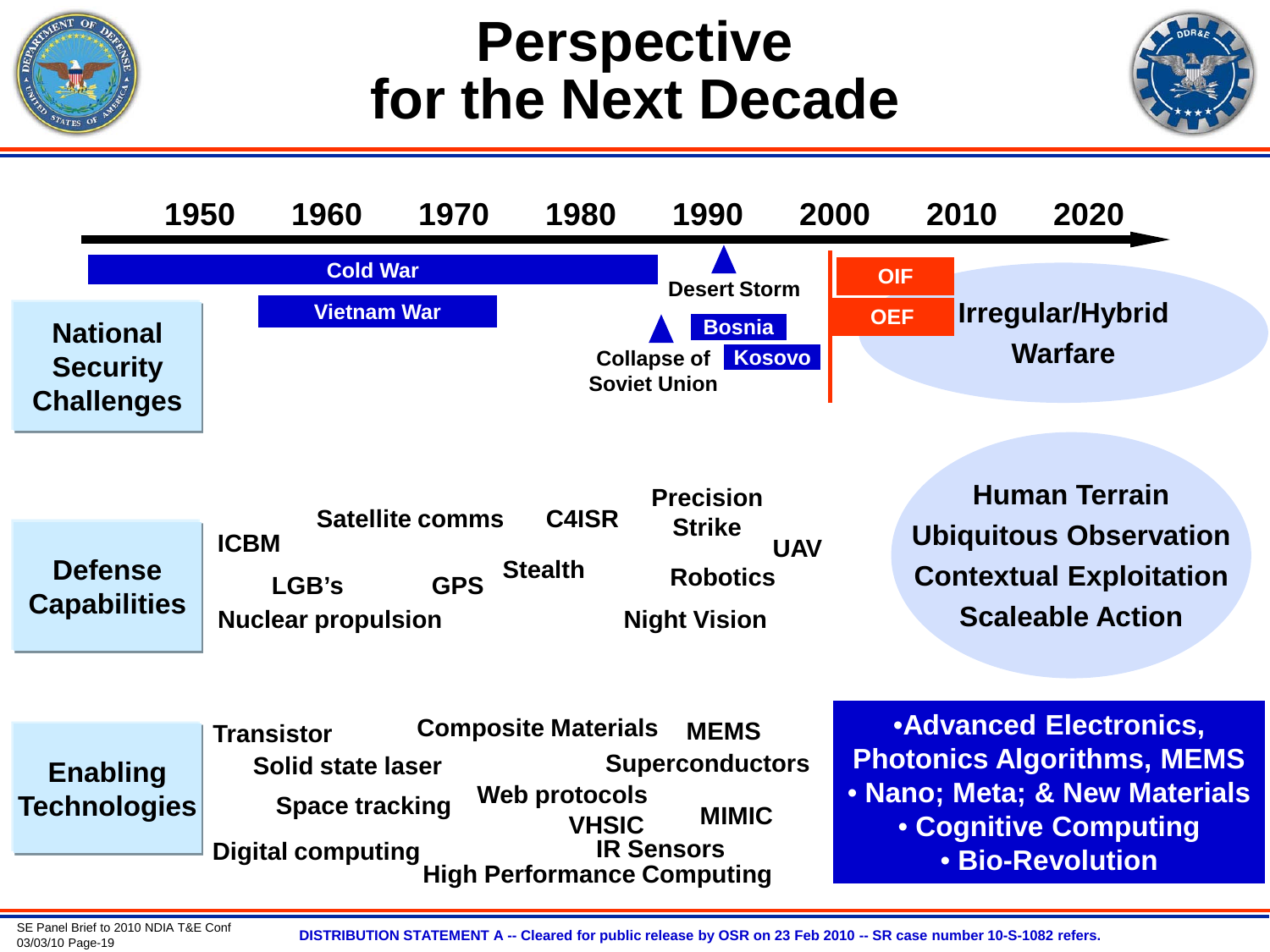## **Perspective for the Next Decade**





SE Panel Brief to 2010 NDIA T&E Conf<br>03/03/10 Page-19

03/03/10 Page-19 **DISTRIBUTION STATEMENT A -- Cleared for public release by OSR on 23 Feb 2010 -- SR case number 10-S-1082 refers.**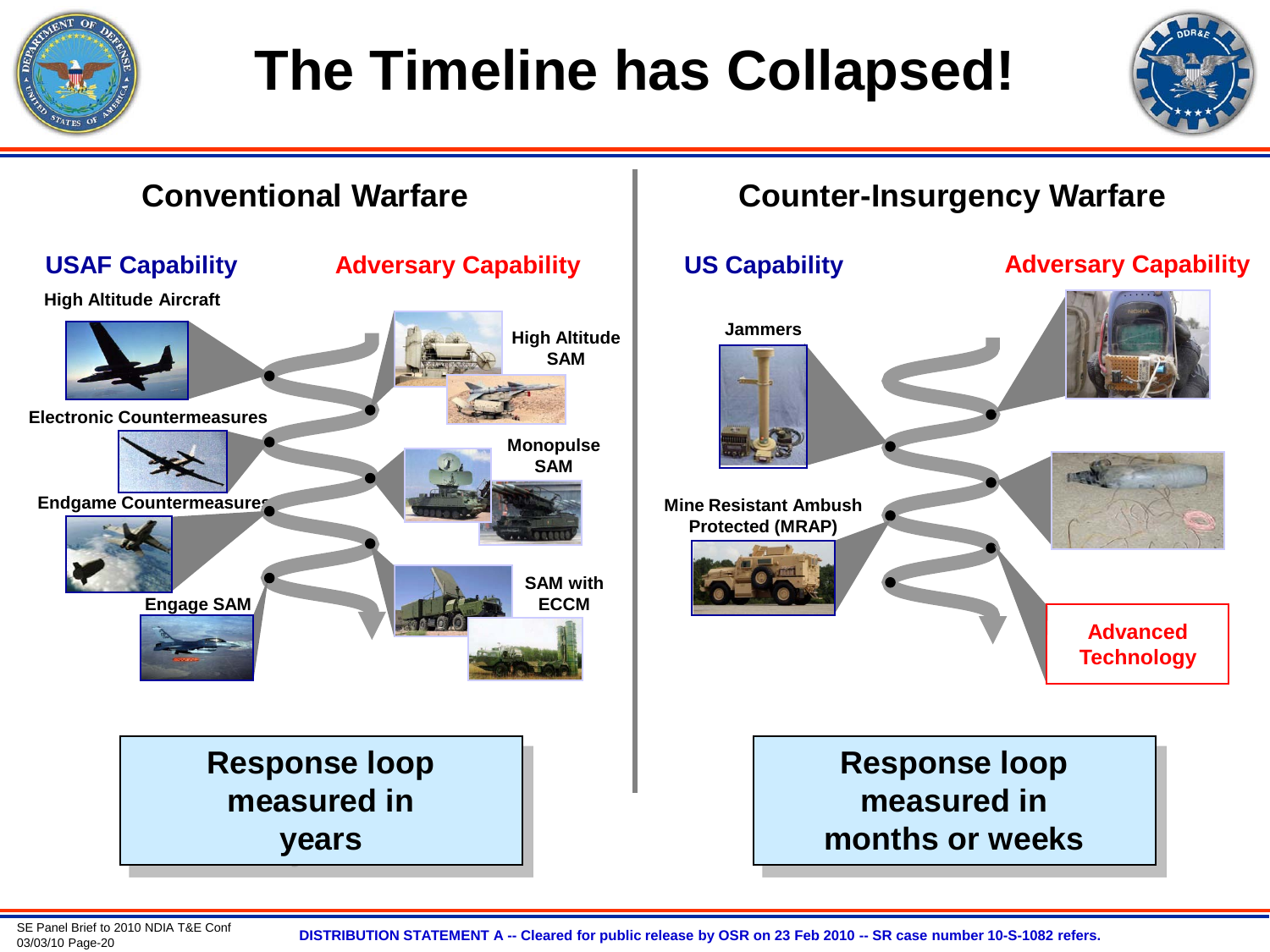

# **The Timeline has Collapsed!**





03/03/10 Page-20 **DISTRIBUTION STATEMENT A -- Cleared for public release by OSR on 23 Feb 2010 -- SR case number 10-S-1082 refers.**